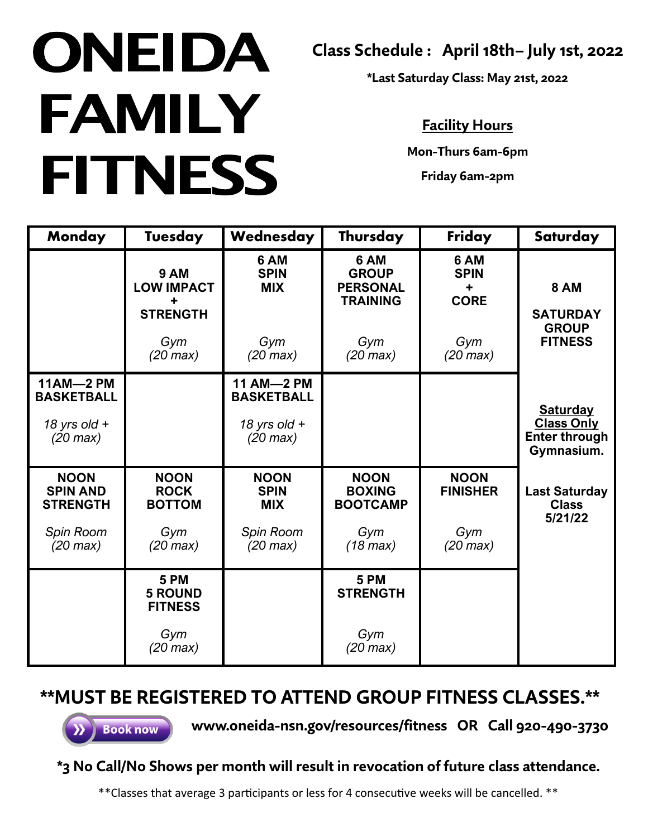## **ONEIDA FAMILY FITNESS**

**Class Schedule : April 18th– July 1st, 2022**

**\*Last Saturday Class: May 21st, 2022**

## **Facility Hours**

**Mon-Thurs 6am-6pm**

**Friday 6am-2pm**

| <b>Monday</b>                                     | Tuesday                                                  | Wednesday                                | Thursday                                                   | Friday                                  | Saturday                                                                   |
|---------------------------------------------------|----------------------------------------------------------|------------------------------------------|------------------------------------------------------------|-----------------------------------------|----------------------------------------------------------------------------|
|                                                   | <b>9 AM</b><br><b>LOW IMPACT</b><br>÷<br><b>STRENGTH</b> | 6 AM<br><b>SPIN</b><br><b>MIX</b>        | 6 AM<br><b>GROUP</b><br><b>PERSONAL</b><br><b>TRAINING</b> | 6 AM<br><b>SPIN</b><br>٠<br><b>CORE</b> | <b>8 AM</b><br><b>SATURDAY</b>                                             |
|                                                   | Gym<br>$(20 \text{ max})$                                | Gym<br>$(20 \text{ max})$                | Gym<br>$(20 \text{ max})$                                  | Gym<br>$(20 \text{ max})$               | <b>GROUP</b><br><b>FITNESS</b>                                             |
| <b>11AM-2 PM</b><br><b>BASKETBALL</b>             |                                                          | 11 AM-2 PM<br><b>BASKETBALL</b>          |                                                            |                                         |                                                                            |
| 18 yrs old $+$<br>$(20 \text{ max})$              |                                                          | 18 yrs old $+$<br>$(20 \text{ max})$     |                                                            |                                         | <b>Saturday</b><br><b>Class Only</b><br><b>Enter through</b><br>Gymnasium. |
| <b>NOON</b><br><b>SPIN AND</b><br><b>STRENGTH</b> | <b>NOON</b><br><b>ROCK</b><br><b>BOTTOM</b>              | <b>NOON</b><br><b>SPIN</b><br><b>MIX</b> | <b>NOON</b><br><b>BOXING</b><br><b>BOOTCAMP</b>            | <b>NOON</b><br><b>FINISHER</b>          | <b>Last Saturday</b><br><b>Class</b><br>5/21/22                            |
| Spin Room<br>$(20 \text{ max})$                   | Gym<br>$(20 \text{ max})$                                | Spin Room<br>$(20 \text{ max})$          | Gym<br>$(18 \text{ max})$                                  | Gym<br>$(20 \text{ max})$               |                                                                            |
|                                                   | <b>5 PM</b><br><b>5 ROUND</b><br><b>FITNESS</b>          |                                          | <b>5 PM</b><br><b>STRENGTH</b>                             |                                         |                                                                            |
|                                                   | Gym<br>$(20 \text{ max})$                                |                                          | Gym<br>$(20 \text{ max})$                                  |                                         |                                                                            |

## **\*\*MUST BE REGISTERED TO ATTEND GROUP FITNESS CLASSES.\*\***

**Book now** 

**www.oneida-nsn.gov/resources/fitness OR Call 920-490-3730**

## **\*3 No Call/No Shows per month will result in revocation of future class attendance.**

\*\*Classes that average 3 participants or less for 4 consecutive weeks will be cancelled. \*\*